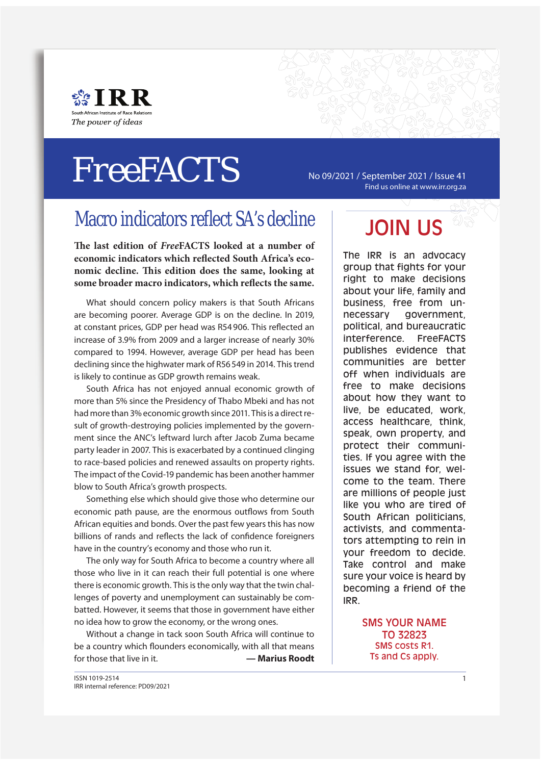

# $FreeFACTS$   $\sim$   $N_0$  09/2021 / September 2021 / Issue 41

Find us online at www.irr.org.za

### Macro indicators reflect SA's decline

The last edition of *Free***FACTS** looked at a number of economic indicators which reflected South Africa's economic decline. This edition does the same, looking at some broader macro indicators, which reflects the same.

What should concern policy makers is that South Africans are becoming poorer. Average GDP is on the decline. In 2019, at constant prices, GDP per head was R54 906. This reflected an increase of 3.9% from 2009 and a larger increase of nearly 30% compared to 1994. However, average GDP per head has been declining since the highwater mark of R56 549 in 2014. This trend is likely to continue as GDP growth remains weak.

South Africa has not enjoyed annual economic growth of more than 5% since the Presidency of Thabo Mbeki and has not had more than 3% economic growth since 2011. This is a direct result of growth-destroving policies implemented by the government since the ANC's leftward lurch after Jacob Zuma became party leader in 2007. This is exacerbated by a continued clinging to race-based policies and renewed assaults on property rights. The impact of the Covid-19 pandemic has been another hammer blow to South Africa's growth prospects.

Something else which should give those who determine our economic path pause, are the enormous outflows from South African equities and bonds. Over the past few years this has now billions of rands and reflects the lack of confidence foreigners have in the country's economy and those who run it.

The only way for South Africa to become a country where all those who live in it can reach their full potential is one where there is economic growth. This is the only way that the twin challenges of poverty and unemployment can sustainably be combatted. However, it seems that those in government have either no idea how to grow the economy, or the wrong ones.

Without a change in tack soon South Africa will continue to be a country which flounders economically, with all that means for those that live in it. **— Marius Roodt**

## JOIN US

The IRR is an advocacy group that fights for your right to make decisions about your life, family and business, free from unnecessary government, political, and bureaucratic interference. FreeFACTS publishes evidence that communities are better off when individuals are free to make decisions about how they want to live, be educated, work, access healthcare, think, speak, own property, and protect their communities. If you agree with the issues we stand for, welcome to the team. There are millions of people just like you who are tired of South African politicians, activists, and commentators attempting to rein in your freedom to decide. Take control and make sure your voice is heard by becoming a friend of the IRR.

> SMS YOUR NAME TO 32823 SMS costs R1. Ts and Cs apply.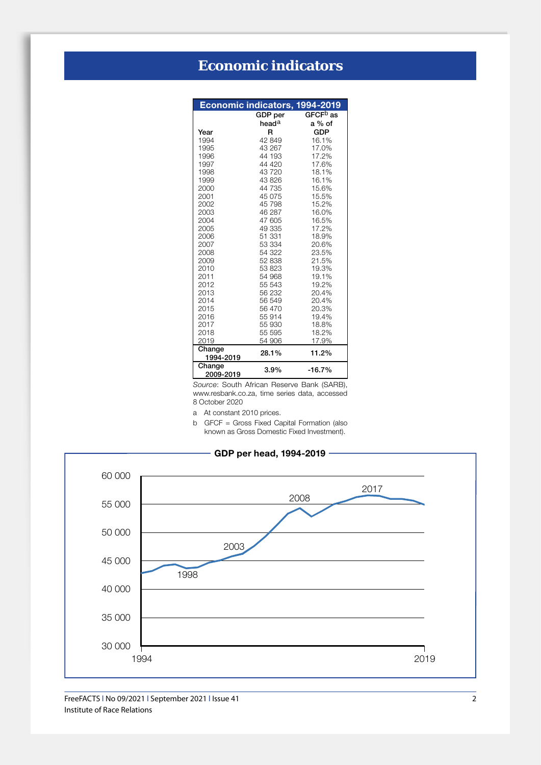|                     | Economic indicators, 1994-2019 |                      |
|---------------------|--------------------------------|----------------------|
|                     | <b>GDP</b> per                 | GFCF <sup>b</sup> as |
|                     | head <sup>a</sup>              | a % of               |
| Year                | R                              | <b>GDP</b>           |
| 1994                | 42 849                         | 16.1%                |
| 1995                | 43 267                         | 17.0%                |
| 1996                | 44 193                         | 17.2%                |
| 1997                | 44 4 20                        | 17.6%                |
| 1998                | 43720                          | 18.1%                |
| 1999                | 43 826                         | 16.1%                |
| 2000                | 44 735                         | 15.6%                |
| 2001                | 45 075                         | 15.5%                |
| 2002                | 45 798                         | 15.2%                |
| 2003                | 46 287                         | 16.0%                |
| 2004                | 47 605                         | 16.5%                |
| 2005                | 49 335                         | 17.2%                |
| 2006                | 51 331                         | 18.9%                |
| 2007                | 53 334                         | 20.6%                |
| 2008                | 54 322                         | 23.5%                |
| 2009                | 52 838                         | 21.5%                |
| 2010                | 53 823                         | 19.3%                |
| 2011                | 54 968                         | 19.1%                |
| 2012                | 55 543                         | 19.2%                |
| 2013                | 56 232                         | 20.4%                |
| 2014                | 56 549                         | 20.4%                |
| 2015                | 56 470                         | 20.3%                |
| 2016                | 55 914                         | 19.4%                |
| 2017<br>2018        | 55 930                         | 18.8%<br>18.2%       |
| 2019                | 55 595<br>54 906               | 17.9%                |
| Change              |                                |                      |
| 1994-2019           | 28.1%                          | 11.2%                |
| Change<br>2009-2019 | $3.9\%$                        | $-16.7%$             |

*Source*: South African Reserve Bank (SARB), www.resbank.co.za, time series data, accessed 8 October 2020

a At constant 2010 prices.

b GFCF = Gross Fixed Capital Formation (also known as Gross Domestic Fixed Investment).

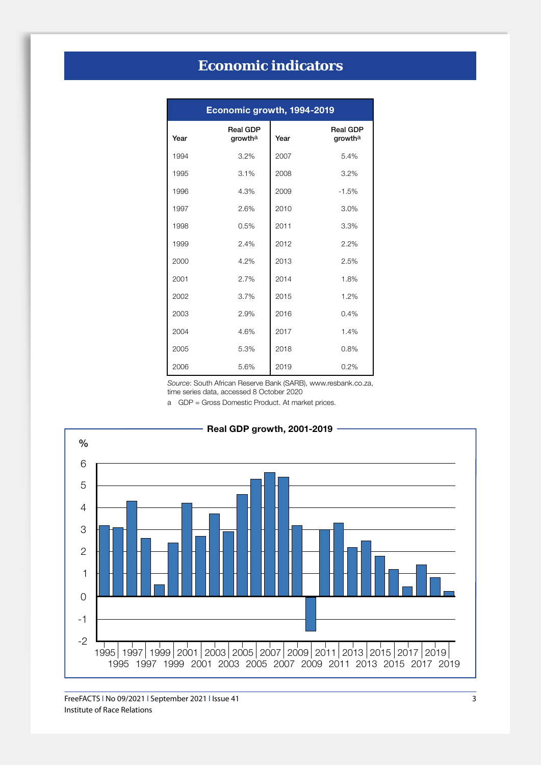| Economic growth, 1994-2019 |                            |      |                            |  |  |  |
|----------------------------|----------------------------|------|----------------------------|--|--|--|
| Year                       | <b>Real GDP</b><br>growtha | Year | <b>Real GDP</b><br>growtha |  |  |  |
| 1994                       | 3.2%                       | 2007 | 5.4%                       |  |  |  |
| 1995                       | 3.1%                       | 2008 | 3.2%                       |  |  |  |
| 1996                       | 4.3%                       | 2009 | $-1.5%$                    |  |  |  |
| 1997                       | 2.6%                       | 2010 | 3.0%                       |  |  |  |
| 1998                       | 0.5%                       | 2011 | 3.3%                       |  |  |  |
| 1999                       | 2.4%                       | 2012 | 2.2%                       |  |  |  |
| 2000                       | 4.2%                       | 2013 | 2.5%                       |  |  |  |
| 2001                       | 2.7%                       | 2014 | 1.8%                       |  |  |  |
| 2002                       | 3.7%                       | 2015 | 1.2%                       |  |  |  |
| 2003                       | 2.9%                       | 2016 | 0.4%                       |  |  |  |
| 2004                       | 4.6%                       | 2017 | 1.4%                       |  |  |  |
| 2005                       | 5.3%                       | 2018 | 0.8%                       |  |  |  |
| 2006                       | 5.6%                       | 2019 | 0.2%                       |  |  |  |

*Source*: South African Reserve Bank (SARB), www.resbank.co.za, time series data, accessed 8 October 2020

a GDP = Gross Domestic Product. At market prices.

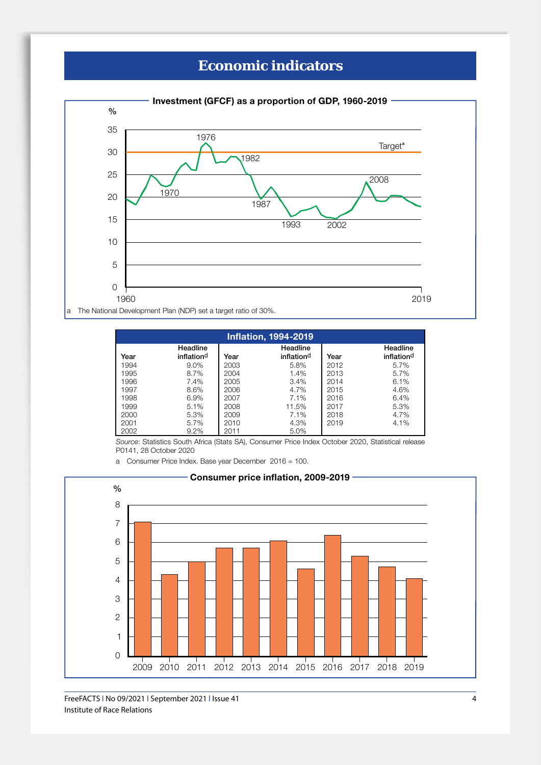

| <b>Inflation, 1994-2019</b> |                                    |      |                                    |      |                        |  |
|-----------------------------|------------------------------------|------|------------------------------------|------|------------------------|--|
| Year                        | Headline<br>inflation <sup>d</sup> | Year | Headline<br>inflation <sup>d</sup> | Year | Headline<br>inflationd |  |
| 1994                        | 9.0%                               | 2003 | 5.8%                               | 2012 | 5.7%                   |  |
| 1995                        | 8.7%                               | 2004 | 1.4%                               | 2013 | 5.7%                   |  |
| 1996                        | 7.4%                               | 2005 | 3.4%                               | 2014 | 6.1%                   |  |
| 1997                        | 8.6%                               | 2006 | 4.7%                               | 2015 | 4.6%                   |  |
| 1998                        | 6.9%                               | 2007 | 7.1%                               | 2016 | 6.4%                   |  |
| 1999                        | 5.1%                               | 2008 | 11.5%                              | 2017 | 5.3%                   |  |
| 2000                        | 5.3%                               | 2009 | 7.1%                               | 2018 | 4.7%                   |  |
| 2001                        | 5.7%                               | 2010 | 4.3%                               | 2019 | 4.1%                   |  |
| 2002                        | 9.2%                               | 2011 | 5.0%                               |      |                        |  |

*Source*: Statistics South Africa (Stats SA), Consumer Price Index October 2020, Statistical release P0141, 28 October 2020

a Consumer Price Index. Base year December 2016 = 100.